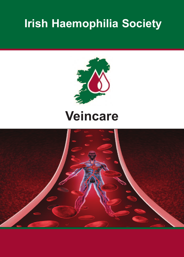# **Irish Haemophilia Society**



# **Veincare**

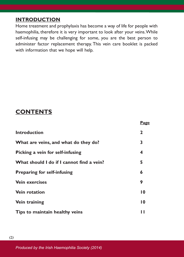### **INTRODUCTION**

Home treatment and prophylaxis has become a way of life for people with haemophilia, therefore it is very important to look after your veins.While self-infusing may be challenging for some, you are the best person to administer factor replacement therapy. This vein care booklet is packed with information that we hope will help.

## **CONTeNTs**

|                                           | <b>Page</b>     |
|-------------------------------------------|-----------------|
| <b>Introduction</b>                       | $\mathbf{2}$    |
| What are veins, and what do they do?      | 3               |
| Picking a vein for self-infusing          | 4               |
| What should I do if I cannot find a vein? | 5               |
| <b>Preparing for self-infusing</b>        | 6               |
| <b>Vein exercises</b>                     | 9               |
| <b>Vein rotation</b>                      | $\overline{10}$ |
| Vein training                             | $\overline{10}$ |
| Tips to maintain healthy veins            | Ш               |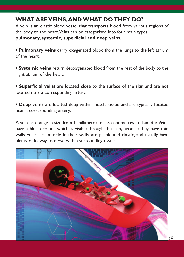## **WhaT aRe VeINs,aNDWhaT DO They DO?**

A vein is an elastic blood vessel that transports blood from various regions of the body to the heart.Veins can be categorised into four main types: **pulmonary, systemic, superficial and deep veins.**

**• Pulmonary veins** carry oxygenated blood from the lungs to the left atrium of the heart.

**• systemic veins** return deoxygenated blood from the rest of the body to the right atrium of the heart.

**• superficial veins** are located close to the surface of the skin and are not located near a corresponding artery.

**• Deep veins** are located deep within muscle tissue and are typically located near a corresponding artery.

A vein can range in size from 1 millimetre to 1.5 centimetres in diameter.Veins have a bluish colour, which is visible through the skin, because they have thin walls.Veins lack muscle in their walls, are pliable and elastic, and usually have plenty of leeway to move within surrounding tissue.

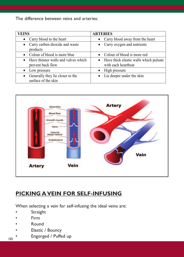The difference between veins and arteries:

| <b>VEINS</b>                                                          | <b>ARTERIES</b>                                                 |
|-----------------------------------------------------------------------|-----------------------------------------------------------------|
| • Carry blood to the heart                                            | • Carry blood away from the heart                               |
| • Carry carbon dioxide and waste<br>products                          | • Carry oxygen and nutrients                                    |
| • Colour of blood is more blue                                        | • Colour of blood is more red                                   |
| Have thinner walls and valves which<br>$\bullet$<br>prevent back flow | • Have thick elastic walls which pulsate<br>with each heartbeat |
| Low pressure<br>$\bullet$                                             | High pressure                                                   |
| Generally they lie closer to the<br>$\bullet$<br>surface of the skin  | • Lie deeper under the skin                                     |



## **PICkINg aVeIN fOR self-INfUsINg**

When selecting a vein for self-infusing the ideal veins are:

- **Straight**
- Firm
- Round
- Elastic / Bouncy
- Engorged / Puffed up *(4)*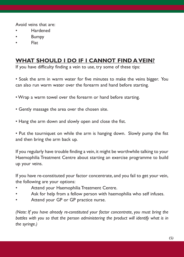Avoid veins that are:

- **Hardened**
- Bumpy
- Flat

## **WhaT shOUlD I DO If I CaNNOT fIND aVeIN?**

If you have difficulty finding a vein to use, try some of these tips:

• Soak the arm in warm water for five minutes to make the veins bigger. You can also run warm water over the forearm and hand before starting.

- Wrap a warm towel over the forearm or hand before starting.
- Gently massage the area over the chosen site.
- Hang the arm down and slowly open and close the fist.

• Put the tourniquet on while the arm is hanging down. Slowly pump the fist and then bring the arm back up.

If you regularly have trouble finding a vein, it might be worthwhile talking to your Haemophilia Treatment Centre about starting an exercise programme to build up your veins.

If you have re-constituted your factor concentrate, and you fail to get your vein, the following are your options:

- Attend your Haemophilia Treatment Centre.
- Ask for help from a fellow person with haemophilia who self infuses.
- Attend your GP or GP practice nurse.

*(Note: If you have already re-constituted your factor concentrate, you must bring the bottles with you so that the person administering the product will identify what is in the syringe.)*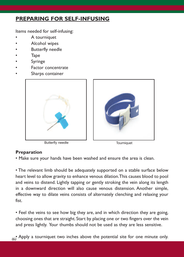## **PRePaRINg fOR self-INfUsINg**

Items needed for self-infusing:

- A tourniquet
- Alcohol wipes
- Butterfly needle
- **Tape**
- **Syringe**
- Factor concentrate
- Sharps container



Butterfly needle Tourniquet



### **Preparation**

• Make sure your hands have been washed and ensure the area is clean.

• The relevant limb should be adequately supported on a stable surface below heart level to allow gravity to enhance venous dilation.This causes blood to pool and veins to distend. Lightly tapping or gently stroking the vein along its length in a downward direction will also cause venous distension. Another simple, effective way to dilate veins consists of alternately clenching and relaxing your fist.

• Feel the veins to see how big they are, and in which direction they are going, choosing ones that are straight. Start by placing one or two fingers over the vein and press lightly. Your thumbs should not be used as they are less sensitive.

 $(6)$ <sup> $\bullet$ </sup> Apply a tourniquet two inches above the potential site for one minute only.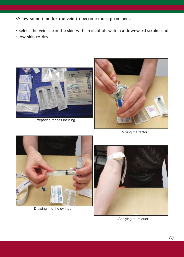•Allow some time for the vein to become more prominent.

• Select the vein, clean the skin with an alcohol swab in a downward stroke, and allow skin to dry.



Preparing for self infusing



Mixing the factor



Drawing into the syringe



Applying tourniquet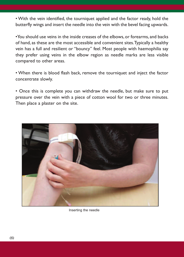• With the vein identified, the tourniquet applied and the factor ready, hold the butterfly wings and insert the needle into the vein with the bevel facing upwards.

•You should use veins in the inside creases of the elbows, or forearms, and backs of hand, as these are the most accessible and convenient sites.Typically a healthy vein has a full and resilient or "bouncy" feel. Most people with haemophilia say they prefer using veins in the elbow region as needle marks are less visible compared to other areas.

• When there is blood flash back, remove the tourniquet and inject the factor concentrate slowly.

• Once this is complete you can withdraw the needle, but make sure to put pressure over the vein with a piece of cotton wool for two or three minutes. Then place a plaster on the site.



Inserting the needle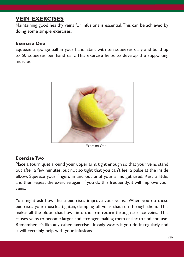## **VeIN exeRCIses**

Maintaining good healthy veins for infusions is essential.This can be achieved by doing some simple exercises.

#### **exercise One**

Squeeze a sponge ball in your hand. Start with ten squeezes daily and build up to 50 squeezes per hand daily. This exercise helps to develop the supporting muscles.



Exercise One

#### **exercise Two**

Place a tourniquet around your upper arm, tight enough so that your veins stand out after a few minutes, but not so tight that you can't feel a pulse at the inside elbow. Squeeze your fingers in and out until your arms get tired. Rest a little, and then repeat the exercise again. If you do this frequently, it will improve your veins.

You might ask how these exercises improve your veins. When you do these exercises your muscles tighten, clamping off veins that run through them. This makes all the blood that flows into the arm return through surface veins. This causes veins to become larger and stronger, making them easier to find and use. Remember, it's like any other exercise. It only works if you do it regularly, and it will certainly help with your infusions.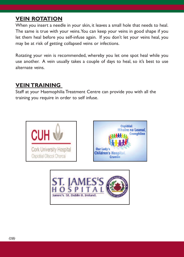## **VeIN ROTaTION**

When you insert a needle in your skin, it leaves a small hole that needs to heal. The same is true with your veins.You can keep your veins in good shape if you let them heal before you self-infuse again. If you don't let your veins heal, you may be at risk of getting collapsed veins or infections.

Rotating your vein is recommended, whereby you let one spot heal while you use another. A vein usually takes a couple of days to heal, so it's best to use alternate veins.

## **VeIN TRaININg**

Staff at your Haemophilia Treatment Centre can provide you with all the training you require in order to self infuse.





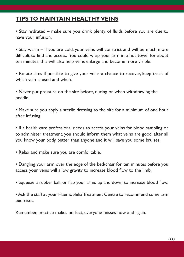## **TIPs TO maINTaIN healThy VeINs**

• Stay hydrated – make sure you drink plenty of fluids before you are due to have your infusion.

• Stay warm – if you are cold, your veins will constrict and will be much more difficult to find and access. You could wrap your arm in a hot towel for about ten minutes; this will also help veins enlarge and become more visible.

• Rotate sites if possible to give your veins a chance to recover, keep track of which vein is used and when.

• Never put pressure on the site before, during or when withdrawing the needle.

• Make sure you apply a sterile dressing to the site for a minimum of one hour after infusing.

• If a health care professional needs to access your veins for blood sampling or to administer treatment, you should inform them what veins are good, after all you know your body better than anyone and it will save you some bruises.

• Relax and make sure you are comfortable.

• Dangling your arm over the edge of the bed/chair for ten minutes before you access your veins will allow gravity to increase blood flow to the limb.

• Squeeze a rubber ball, or flap your arms up and down to increase blood flow.

• Ask the staff at your Haemophilia Treatment Centre to recommend some arm exercises.

Remember, practice makes perfect, everyone misses now and again.